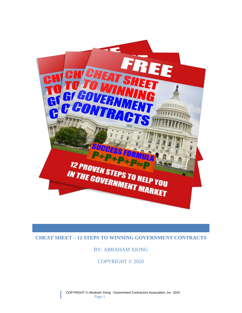

# **CHEAT SHEET – 12 STEPS TO WINNING GOVERNMENT CONTRACTS**

# BY: ABRAHAM XIONG

COPYRIGHT © 2020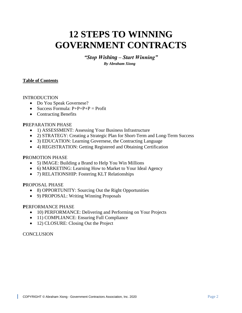# **12 STEPS TO WINNING GOVERNMENT CONTRACTS**

*"Stop Wishing – Start Winning" By Abraham Xiong*

#### **Table of Contents**

#### INTRODUCTION

- Do You Speak Governese?
- Success Formula:  $P+P+P+P = Profit$
- Contracting Benefits

#### **P**REPARATION PHASE

- 1) ASSESSMENT: Assessing Your Business Infrastructure
- 2) STRATEGY: Creating a Strategic Plan for Short-Term and Long-Term Success
- 3) EDUCATION: Learning Governese, the Contracting Language
- 4) REGISTRATION: Getting Registered and Obtaining Certification

#### **P**ROMOTION PHASE

- 5) IMAGE: Building a Brand to Help You Win Millions
- 6) MARKETING: Learning How to Market to Your Ideal Agency
- 7) RELATIONSHIP: Fostering KLT Relationships

#### **P**ROPOSAL PHASE

- 8) OPPORTUNITY: Sourcing Out the Right Opportunities
- 9) PROPOSAL: Writing Winning Proposals

#### **P**ERFORMANCE PHASE

- 10) PERFORMANCE: Delivering and Performing on Your Projects
- 11) COMPLIANCE: Ensuring Full Compliance
- 12) CLOSURE: Closing Out the Project

#### **CONCLUSION**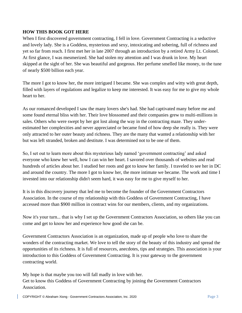# **HOW THIS BOOK GOT HERE**

When I first discovered government contracting, I fell in love. Government Contracting is a seductive and lovely lady. She is a Goddess, mysterious and sexy, intoxicating and sobering, full of richness and yet so far from reach. I first met her in late 2007 through an introduction by a retired Army Lt. Colonel. At first glance, I was mesmerized. She had stolen my attention and I was drunk in love. My heart skipped at the sight of her. She was beautiful and gorgeous. Her perfume smelled like money, to the tune of nearly \$500 billion each year.

The more I got to know her, the more intrigued I became. She was complex and witty with great depth, filled with layers of regulations and legalize to keep me interested. It was easy for me to give my whole heart to her.

As our romanced developed I saw the many lovers she's had. She had captivated many before me and some found eternal bliss with her. Their love blossomed and their companies grew to multi-millions in sales. Others who were swept by her got lost along the way in the contracting maze. They underestimated her complexities and never appreciated or became fond of how deep she really is. They were only attracted to her outer beauty and richness. They are the many that wanted a relationship with her but was left stranded, broken and destitute. I was determined not to be one of them.

So, I set out to learn more about this mysterious lady named 'government contracting' and asked everyone who knew her well, how I can win her heart. I savored over thousands of websites and read hundreds of articles about her. I studied her roots and got to know her family. I traveled to see her in DC and around the country. The more I got to know her, the more intimate we became. The work and time I invested into our relationship didn't seem hard, it was easy for me to give myself to her.

It is in this discovery journey that led me to become the founder of the Government Contractors Association. In the course of my relationship with this Goddess of Government Contracting, I have accessed more than \$900 million in contract wins for our members, clients, and my organizations.

Now it's your turn... that is why I set up the Government Contractors Association, so others like you can come and get to know her and experience how good she can be.

Government Contractors Association is an organization, made up of people who love to share the wonders of the contracting market. We love to tell the story of the beauty of this industry and spread the opportunities of its richness. It is full of resources, anecdotes, tips and strategies. This association is your introduction to this Goddess of Government Contracting. It is your gateway to the government contracting world.

My hope is that maybe you too will fall madly in love with her. Get to know this Goddess of Government Contracting by joining the Government Contractors Association.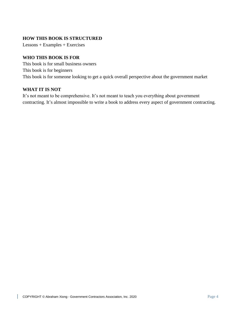# **HOW THIS BOOK IS STRUCTURED**

Lessons + Examples + Exercises

# **WHO THIS BOOK IS FOR**

This book is for small business owners This book is for beginners This book is for someone looking to get a quick overall perspective about the government market

#### **WHAT IT IS NOT**

It's not meant to be comprehensive. It's not meant to teach you everything about government contracting. It's almost impossible to write a book to address every aspect of government contracting.

L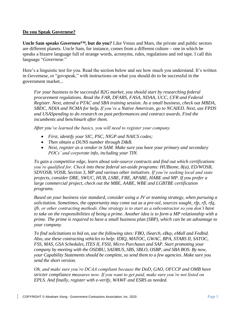# **Do you Speak Governese?**

**Uncle Sam speaks** *Governese™***, but do you?** Like Venus and Mars, the private and public sectors are different planets. Uncle Sam, for instance, comes from a different culture – one in which he speaks a bizarre language full of strange words, acronyms, rules, regulations and red tape. I call this language "*Governese*."

Here's a linguistic test for you. Read the section below and see how much you understand. It's written in Governese, or "govspeak," with instructions on what you should do to be successful in the government market...

*For your business to be successful B2G market, you should start by researching federal procurement regulations. Read the FAR, DFARS, FASA, NDAA, UCC, CFR and Federal Register. Next, attend a PTAC and SBA training session. As a small business, check out MBDA, SBDC, NDIA and NCMA for help. If you're a Native American, go to NCAIED. Next, use FPDS and USASpending to do research on past performances and contract awards. Find the incumbents and benchmark after them.*

*After you've learned the basics, you will need to register your company.* 

- *First, identify your SIC, PSC, NIGP and NAICS codes;*
- *Then obtain a DUNS number through D&B.*
- *Next, register as a vendor in SAM. Make sure you have your primary and secondary POCs' and corporate info, including your TIN.*

*To gain a competitive edge, learn about sole-source contracts and find out which certifications you're qualified for. Check into these federal set-aside programs: HUBzone, 8(a), ED/WOSB, SDVOSB, VOSB, Section 3, MP and various other initiatives. If you're seeking local and state projects, consider DBE, SWUC, HUB, LSBE, FBE, APABE, HABE and MP. If you prefer a large commercial project, check out the MBE, AABE, WBE and LGBTBE certification programs.*

*Based on your business size standard, consider using a JV or teaming strategy, when pursuing a solicitation. Sometimes, the opportunity may come out as a pre-sol, sources sought, rfp, rfi, rfq, ifb, or other contracting methods. One strategy is to start as a subcontractor so you don't have to take on the responsibilities of being a prime. Another idea is to form a MP relationship with a prime. The prime is required to have a small business plan (SBP), which can be an advantage to your company.*

*To find solicitations to bid on, use the following sites: FBO, iSearch, eBuy, eMall and Fedbid. Also, use these contracting vehicles to help: IDIQ, MATOC, GWAC, BPA, STARS II, SATOC, FSS, MAS, GSA Schedules, ITES II, FSSI, Micro Purchases and SAP. Start promoting your company by meeting with the OSDBU, SADBUS, SBS, SBLO, OSBP, and SBA BOS. By now, your Capability Statements should be complete, so send them to a few agencies. Make sure you send the short version.*

*Oh, and make sure you're DCAA compliant because the DoD, GAO, OFCCP and OMB have stricter compliance measures now. If you want to get paid, make sure you're not listed on EPLS. And finally, register with e-verify, WAWF and ESRS as needed.*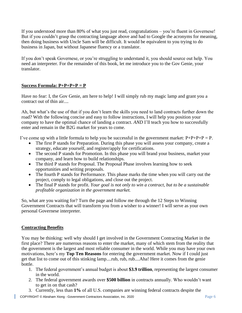If you understood more than 80% of what you just read, congratulations – you're fluent in Governese! But if you couldn't grasp the contracting language above and had to Google the acronyms for meaning, then doing business with Uncle Sam will be difficult. It would be equivalent to you trying to do business in Japan, but without Japanese fluency or a translator.

If you don't speak Governese, or you're struggling to understand it, you should source out help. You need an interpreter. For the remainder of this book, let me introduce you to the Gov Genie, your translator.

# **Success Formula: P+P+P+P = P**

Have no fear: I, the Gov Genie, am here to help! I will simply rub my magic lamp and grant you a contract out of thin air....

Ah, but what's the use of that if you don't learn the skills you need to land contracts further down the road? With the following concise and easy to follow instructions, I will help you position your company to have the optimal chance of landing a contract. *AND* I'll teach you how to successfully enter and remain in the B2G market for years to come.

I've come up with a little formula to help you be successful in the government market:  $P+P+P+P = P$ .

- The first P stands for Preparation. During this phase you will assess your company, create a strategy, educate yourself, and register/apply for certifications.
- The second P stands for Promotion. In this phase you will brand your business, market your company, and learn how to build relationships.
- The third P stands for Proposal. The Proposal Phase involves learning how to seek opportunities and writing proposals.
- The fourth P stands for Performance. This phase marks the time when you will carry out the project, comply to legal obligations, and close out the project.
- The final P stands for profit. *Your goal is not only to win a contract, but to be a sustainable profitable organization in the government market.*

So, what are you waiting for? Turn the page and follow me through the 12 Steps to Winning Government Contracts that will transform you from a wisher to a winner! I will serve as your own personal Governese interpreter.

# **Contracting Benefits**

You may be thinking: well why should I get involved in the Government Contracting Market in the first place? There are numerous reasons to enter the market, many of which stem from the reality that the government is the largest and most reliable consumer in the world. While you may have your own motivations, here's my **Top Ten Reasons** for entering the government market. Now if I could just get that list to come out of this stinking lamp....rub, rub, rub....Aha! Here it comes from the genie bottle.

- 1. The federal government's annual budget is about **\$3.9 trillion**, representing the largest consumer in the world.
- 2. The federal government awards over **\$500 billion** in contracts annually. Who wouldn't want to get in on that cash?
- 3. Currently, less than **1%** of all U.S. companies are winning federal contracts despite the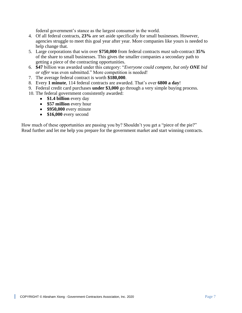federal government's stance as the largest consumer in the world.

- 4. Of all federal contracts, **23%** are set aside specifically for small businesses. However, agencies struggle to meet this goal year after year. More companies like yours is needed to help change that.
- 5. Large corporations that win over **\$750,000** from federal contracts *must* sub-contract **35%**  of the share to small businesses. This gives the smaller companies a secondary path to getting a piece of the contracting opportunities.
- 6. **\$47** billion was awarded under this category: "*Everyone could compete, but only ONE bid or offer* was even submitted." More competition is needed!
- 7. The average federal contract is worth **\$180,000**.
- 8. Every **1 minute**, 114 federal contracts are awarded. That's over **6800 a day**!
- 9. Federal credit card purchases **under \$3,000** go through a very simple buying process.
- 10. The federal government consistently awarded:
	- **\$1.4 billion** every day
	- **\$57 million** every hour
	- **\$950,000** every minute
	- **\$16,000** every second

How much of these opportunities are passing you by? Shouldn't you get a "piece of the pie?" Read further and let me help you prepare for the government market and start winning contracts.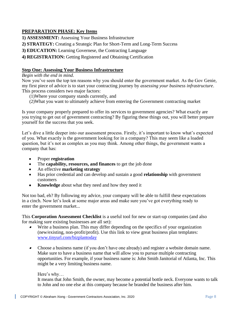# **PREPARATION PHASE: Key Items**

**1) ASSESSMENT:** Assessing Your Business Infrastructure

- **2) STRATEGY:** Creating a Strategic Plan for Short-Term and Long-Term Success
- **3) EDUCATION:** Learning Governese, the Contracting Language
- **4) REGISTRATION:** Getting Registered and Obtaining Certification

# **Step One: Assessing Your Business Infrastructure**

#### *Begin with the end in mind*.

Now you've seen the top ten reasons why you should enter the government market. As the Gov Genie, my first piece of advice is to start your contracting journey by *assessing your business infrastructure*. This process considers two major factors:

- (1)Where your company stands currently, and
- (2)What you want to ultimately achieve from entering the Government contracting market

Is your company properly prepared to offer its services to government agencies? What exactly are you trying to get out of government contracting? By figuring these things out, you will better prepare yourself for the success that you seek.

Let's dive a little deeper into our assessment process. Firstly, it's important to know what's expected of you. What exactly is the government looking for in a company? This may seem like a loaded question, but it's not as complex as you may think. Among other things, the government wants a company that has:

- Proper **registration**
- The **capability, resources, and finances** to get the job done
- An effective **marketing strategy**
- Has prior credential and can develop and sustain a good **relationship** with government customers
- **Knowledge** about what they need and how they need it

Not too bad, eh? By following my advice, your company will be able to fulfill these expectations in a cinch. Now let's look at some major areas and make sure you've got everything ready to enter the government market...

This **Corporation Assessment Checklist** is a useful tool for new or start-up companies (and also for making sure existing businesses are all set):

- • Write a business plan. This may differ depending on the specifics of your organization (new/existing, non-profit/profit). Use this link to view great business plan templates: [www.tinyurl.com/bizplantoday](http://www.tinyurl.com/bizplantoday)
- Choose a business name (if you don't have one already) and register a website domain name. Make sure to have a business name that will allow you to pursue multiple contracting opportunities. For example, if your business name is: John Smith Janitorial of Atlanta, Inc. This might be a very limiting business name.

#### Here's why…

It means that John Smith, the owner, may become a potential bottle neck. Everyone wants to talk to John and no one else at this company because he branded the business after him.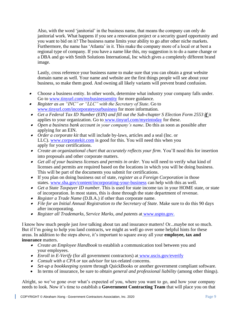Also, with the word 'janitorial' in the business name, that means the company can only do janitorial work. What happens if you see a renovation project or a security guard opportunity and you want to bid on it? The business name limits your ability to go after other niche markets. Furthermore, the name has 'Atlanta' in it. This make the company more of a local or at best a regional type of company. If you have a name like this, my suggestion is to do a name change or a DBA and go with Smith Solutions International, Inc which gives a completely different brand image.

Lastly, cross reference your business name to make sure that you can obtain a great website domain name as well. Your name and website are the first things people will see about your business, so make them good. And owning all likely variants will prevent brand confusion.

- • Choose a business entity. In other words, determine what industry your company falls under. Go to [www.tinyurl.com/mybusinessentity](http://www.tinyurl.com/mybusinessentity) for more guidance.
- • *Register as an "INC" or "LLC" with the Secretary of State*. Go to [www.tinyurl.com/incorporateyourbusiness](http://www.tinyurl.com/incorporateyourbusiness) for more information.
- *Get a Federal Tax ID Number (EIN) and fill out the Sub-chapter S Election Form 2553 if it* applies to your organization. Go to [www.tinyurl.com/myeintoday](http://www.tinyurl.com/myeintoday) for these.
- *Open a business bank account in your company's name*. Do this as soon as possible after applying for an EIN.
- *Order a corporate kit* that will include by-laws, articles and a seal (Inc. or LLC). [www.corporatekit.com](http://www.corporatekit.com/) is good for this. You will need this when you apply for your certifications.
- *Create an organizational chart that accurately reflects your firm*. You'll need this for insertion into proposals and other corporate matters.
- *Get all of your business licenses and permits in order*. You will need to verify what kind of licenses and permits are required based on the locations in which you will be doing business. This will be part of the documents you submit for certifications.
- If you plan on doing business out of state, *register as a Foreign Corporation* in those states. [www.sba.gov/content/incorporating-your-business](http://www.sba.gov/content/incorporating-your-business) can help with this as well.
- *Get a State Taxpayer ID number*. This is used for state income tax in your HOME state, or state of incorporation. In most states, this is done through the state department of revenue.
- *Register a Trade Name* (D.B.A.) if other than corporate name.
- *File for an Initial Annual Registration to the Secretary of State*. Make sure to do this 90 days after incorporating.
- *Register all Trademarks, Service Marks, and patents* at [www.uspto.gov.](http://www.uspto.gov/)

I know how much people just *love* talking about tax and insurance matters! Or...maybe not so much. But if I'm going to help you land contracts, we might as well go over some helpful hints for these areas. In addition to the steps above, it's important to square away all your **employee, tax and insurance** matters.

- *Create an Employee Handbook* to establish a communication tool between you and your employees.
- *Enroll in E-Verify* (for all government contractors) at [www.uscis.gov/everify](http://www.uscis.gov/everify)
- *Consult with a CPA or tax advisor* for tax-related concerns.
- *Set-up a bookkeeping system* through QuickBooks or another government compliant software.
- In terms of insurance, be sure to *obtain general and professional liability* (among other things).

Alright, so we've gone over what's expected of you, where you want to go, and how your company needs to look. Now it's time to establish a **Government Contracting Team** that will place you on that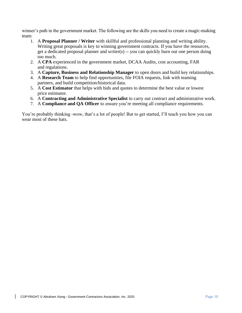winner's path in the government market. The following are the skills you need to create a magic-making team:

- 1. A **Proposal Planner / Writer** with skillful and professional planning and writing ability. Writing great proposals is key to winning government contracts. If you have the resources, get a dedicated proposal planner and writer(s) -- you can quickly burn out one person doing too much.
- 2. A **CPA** experienced in the government market, DCAA Audits, cost accounting, FAR and regulations.
- 3. A **Capture, Business and Relationship Manager** to open doors and build key relationships.
- 4. A **Research Team** to help find opportunities, file FOIA requests, link with teaming partners, and build competition/historical data.
- 5. A **Cost Estimator** that helps with bids and quotes to determine the best value or lowest price estimator.
- 6. A **Contracting and Administrative Specialist** to carry out contract and administrative work.
- 7. A **Compliance and QA Officer** to ensure you're meeting all compliance requirements.

You're probably thinking -wow, that's a lot of people! But to get started, I'll teach you how you can wear most of these hats.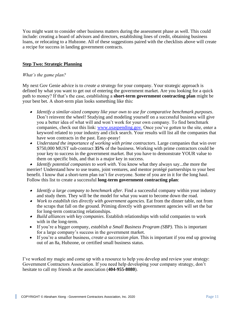You might want to consider other business matters during the assessment phase as well. This could include: creating a board of advisors and directors, establishing lines of credit, obtaining business loans, or relocating to a Hubzone. All of these suggestions paired with the checklists above will create a recipe for success in landing government contracts.

# **Step Two: Strategic Planning**

#### *What's the game plan?*

My next Gov Genie advice is to *create a strategy* for your company. Your strategic approach is defined by what you want to get out of entering the government market. Are you looking for a quick path to money? If that's the case, establishing a **short-term government contracting plan** might be your best bet. A short-term plan looks something like this:

- *Identify a similar-sized company like your own to use for comparative benchmark purposes*. Don't reinvent the wheel! Studying and modeling yourself on a successful business will give you a better idea of what will and won't work for your own company. To find benchmark companies, check out this link: [www.usaspending.gov.](http://www.usaspending.gov/) Once you've gotten to the site, enter a keyword related to your industry and click search. Your results will list all the companies that have won contracts in the past. Easy-peasy!
- *Understand the importance of working with prime contractors*. Large companies that win over \$750,000 MUST sub-contract **35%** of the business. Working with prime contractors could be your key to success in the government market. But you have to demonstrate YOUR value to them on specific bids, and that is a major key in success.

• *Identify potential companies to work with*. You know what they always say...the more the merrier! Understand how to use teams, joint ventures, and mentor protégé partnerships to your best benefit. I know that a short-term plan isn't for everyone. Some of you are in it for the long haul. Follow this list to create a successful **long-term government contracting plan**:

- *Identify a large company to benchmark after.* Find a successful company within your industry and study them. They will be the model for what you want to become down the road.
- *Work to establish ties directly with government agencies.* Eat from the dinner table, not from the scraps that fall on the ground. Priming directly with government agencies will set the bar for long-term contracting relationships.
- *Build alliances with key companies*. Establish relationships with solid companies to work with in the long-term.
- If you're a bigger company, *establish a Small Business Program (SBP)*. This is important for a large company's success in the government market.
- If you're a smaller business, *create a succession plan*. This is important if you end up growing out of an 8a, Hubzone, or certified small business status.

I've worked my magic and come up with a resource to help you develop and review your strategy: Government Contractors Association. If you need help developing your company strategy, don't hesitate to call my friends at the association (**404-955-8080**).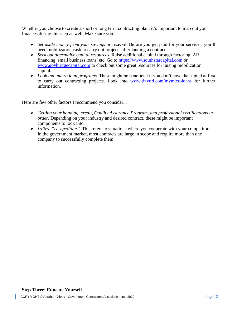Whether you choose to create a short or long term contracting plan, it's important to map out your finances during this step as well. Make sure you:

- *Set aside money from your savings or reserve*. Before you get paid for your services, you'll need mobilization cash to carry out projects after landing a contract.
- • *Seek out alternative capital resources*. Raise additional capital through factoring, AR financing, small business loans, etc. Go to [https://www.southstarcapital.com](https://www.southstarcapital.com/) or [www.govbridgecapital.com](http://www.govbridgecapital.com/) to check out some great resources for raising mobilization capital.
- • *Look into micro loan programs*. These might be beneficial if you don't have the capital at first to carry out contracting projects. Look into [www.tinyurl.com/mymicroloans](http://www.tinyurl.com/mymicroloans) for further information.

Here are few other factors I recommend you consider...

- *Getting your bonding, credit, Quality Assurance Program, and professional certifications in order*. Depending on your industry and desired contract, these might be important components to look into.
- *Utilize "co-opetition".* This refers to situations where you cooperate with your competitors. In the government market, most contracts are large in scope and require more than one company to successfully complete them.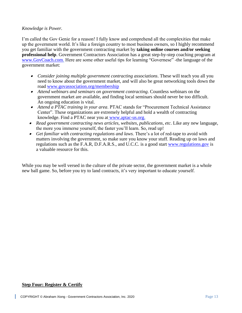#### *Knowledge is Power.*

I'm called the Gov Genie for a reason! I fully know and comprehend all the complexities that make up the government world. It's like a foreign country to most business owners, so I highly recommend you get familiar with the government contracting market by **taking online courses and/or seeking professional help**. Government Contractors Association has a great step-by-step coaching program at [www.GovCoach.com.](http://www.govcoach.com/) Here are some other useful tips for learning "Governese" -the language of the government market:

- *Consider joining multiple government contracting associations*. These will teach you all you need to know about the government market, and will also be great networking tools down the road [www.govassociation.org/membership](file:///C:/Users/abexiong/Dropbox/GCA%20Corp%20Shared%20Folder/Book/www.govassociation.org/membership)
- *Attend webinars and seminars on government contracting*. Countless webinars on the government market are available, and finding local seminars should never be too difficult. An ongoing education is vital.
- *Attend a PTAC training in your area*. PTAC stands for "Procurement Technical Assistance Center". These organizations are extremely helpful and hold a wealth of contracting knowledge. Find a PTAC near you at [www.aptac-us.org.](http://www.aptac-us.org/)
- *Read government contracting news articles, websites, publications, etc*. Like any new language, the more you immerse yourself, the faster you'll learn. So, read up!
- *Get familiar with contracting regulations and laws*. There's a lot of red-tape to avoid with matters involving the government, so make sure you know your stuff. Reading up on laws and regulations such as the F.A.R, D.F.A.R.S., and U.C.C. is a good start [www.regulations.gov](http://www.regulations.gov/) is a valuable resource for this.

While you may be well versed in the culture of the private sector, the government market is a whole new ball game. So, before you try to land contracts, it's very important to educate yourself.

#### **Step Four: Register & Certify**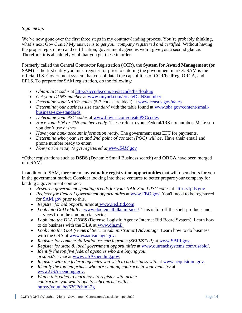# *Sign me up!*

We've now gone over the first three steps in my contract-landing process. You're probably thinking, what's next Gov Genie? My answer is to *get your company registered and certified*. Without having the proper registration and certification, government agencies won't give you a second glance. Therefore, it is absolutely vital that you get these in order.

Formerly called the Central Contractor Registration (CCR), the **System for Award Management (or SAM**) is the first entity you must register for prior to entering the government market. SAM is the official U.S. Government system that consolidated the capabilities of CCR/FedReg, ORCA, and EPLS. To prepare for SAM registration, do the following:

- *Obtain SIC codes* at<http://siccode.com/en/siccode/list/lookup>
- *Get your DUNS number* at [www.tinyurl.com/createDUNSnumber](http://www.tinyurl.com/createDUNSnumber)
- *Determine your NAICS codes* (5-7 codes are ideal) at [www.census.gov/naics](http://www.census.gov/naics)
- *Determine your business size standard* with the table found at **[www.sba.gov/content/small](http://www.sba.gov/content/small-business-size-standards)**[business-size-standards](http://www.sba.gov/content/small-business-size-standards)
- *Determine your PSC codes* at [www.tinyurl.com/createPSCcodes](http://www.tinyurl.com/createPSCcodes)
- *Have your EIN or TIN number ready*. These refer to your Federal/IRS tax number. Make sure you don't use dashes.
- *Have your bank account information ready*. The government uses EFT for payments.
- *Determine who your 1st and 2nd point of contact (POC) will be*. Have their email and phone number ready to enter.
- *Now you're ready to get registered at [www.SAM.gov](http://www.sam.gov/)*

\*Other registrations such as **DSBS** (Dynamic Small Business search) and **ORCA** have been merged into SAM.

In addition to SAM, there are many **valuable registration opportunities** that will open doors for you in the government market. Consider looking into these ventures to better prepare your company for landing a government contract:

- *Research government spending trends for your NAICS and PSC codes at [https://fpds.gov](https://fpds.gov/)*
- *Register for Federal government opportunities* at [www.FBO.gov.](http://www.fbo.gov/) You'll need to be registered for [SAM.gov](http://sam.gov/) prior to this.
- *Register for bid opportunities* at [www.FedBid.com](http://www.fedbid.com/)
- *Look into DoD eMall* at [www.dod.emall.dla.mil/acct/](http://www.dod.emall.dla.mil/acct/) This is for off the shelf products and services from the commercial sector.
- *Look into the DLA DIBBS* (Defense Logistic Agency Internet Bid Board System). Learn how to do business with the DLA at [www.dla.mil.](http://www.dla.mil/)
- *Look into the GSA (General Service Administration*) *Advantage*. Learn how to do business with the GSA at [www.gsaadvantage.gov.](http://www.gsaadvantage.gov/)
- *Register for commercialization research grants (SBIR/STTR)* at [www.SBIR.gov.](http://www.sbir.gov/)
- *Register for state & local government opportunities* at [www.outreachsystems.com/usabid/.](http://www.outreachsystems.com/usabid/)
- *Identify the top five federal agencies who are buying your product/service* at [www.USAspending.gov.](http://www.usaspending.gov/)
- *Register with the federal agencies you wish to do business with at [www.acquisition.gov.](http://www.acquisition.gov/)*
- *Identify the top ten primes who are winning contracts in your industry* at [www.USAspending.gov](http://www.usaspending.gov/)*.*
- *Watch this video to learn how to register with prime contractors you want/hope to subcontract with* at <https://youtu.be/62CPchlnL7g>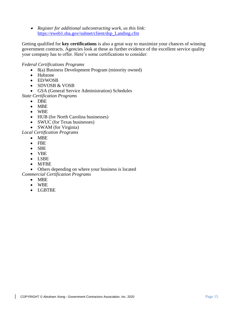• *Register for additional subcontracting work, us this link:*  [https://eweb1.sba.gov/subnet/client/dsp\\_Landing.cfm](https://eweb1.sba.gov/subnet/client/dsp_Landing.cfm)

Getting qualified for **key certifications** is also a great way to maximize your chances of winning government contracts. Agencies look at these as further evidence of the excellent service quality your company has to offer. Here's some certifications to consider:

# *Federal Certifications Programs*

- 8(a) Business Development Program (minority owned)
- Hubzone
- ED/WOSB
- SDVOSB & VOSB

• GSA (General Service Administration) Schedules

- *State Certification Programs*
	- DBE
	- MBE
	- WBE
	- HUB (for North Carolina businesses)
	- SWUC (for Texas businesses)
	- SWAM (for Virginia)

*Local Certification Programs*

- MBE
- FBE
- SBE
- VBE
- LSBE
- M/FBE

• Others depending on where your business is located

#### *Commercial Certification Programs*

- MBE
- WBE
- LGBTBE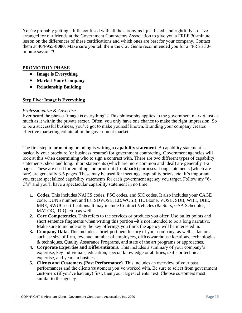You're probably getting a little confused with all the acronyms I just listed, and rightfully so. I've arranged for our friends at the Government Contractors Association to give you a FREE 30-minute lesson on the differences of these certifications and which ones are best for your company. Contact them at **404-955-8080**. Make sure you tell them the Gov Genie recommended you for a "FREE 30 minute session"!

# **PROMOTION PHASE**

- **Image is Everything**
- **Market Your Company**
- **Relationship Building**

# **Step Five: Image is Everything**

#### *Professionalize & Advertise*

Ever heard the phrase "image is everything"? This philosophy applies to the government market just as much as it within the private sector. Often, you only have one chance to make the right impression. So to be a successful business, you've got to make yourself known. Branding your company creates effective marketing collateral in the government market.

The first step to promoting branding is writing a **capability statement**. A capability statement is basically your brochure (or business resume) for government contracting. Government agencies will look at this when determining who to sign a contract with. There are two different types of capability statements: short and long. Short statements (which are more common and ideal) are generally 1-2 pages. These are used for emailing and print-out (front/back) purposes. Long statements (which are rare) are generally 3-6 pages. These may be used for meetings, capability briefs, etc. It's important you create specialized capability statements for each government agency you target. Follow my "6- C's" and you'll have a spectacular capability statement in no time!

- **1. Codes**. This includes NAICS codes, PSC codes, and SIC codes. It also includes your CAGE code, DUNS number, and 8a, SDVOSB, ED/WOSB, HUBzone, VOSB, SDB, WBE, DBE, MBE, SWUC certifications. It may include Contract Vehicles (8a Stars, GSA Schedules, MATOC, IDIQ, etc.) as well.
- **2. Core Competencies.** This refers to the services or products you offer. Use bullet points and short sentence fragments when writing this portion –it's not intended to be a long narrative. Make sure to include only the key offerings you think the agency will be interested in.
- **3. Company Data.** This includes a brief pertinent history of your company, as well as factors such as: size of firm, revenue, number of employees, office/warehouse locations, technologies & techniques, Quality Assurance Programs, and state of the art programs or approaches.
- **4. Corporate Expertise and Differentiators.** This includes a summary of your company's expertise, key individuals, education, special knowledge or abilities, skills or technical expertise, and years in business.
- **5. Clients and Customers (Past Performance).** This includes an overview of your past performances and the clients/customers you've worked with. Be sure to select from government customers (if you've had any) first, then your largest clients next. Choose customers most similar to the agency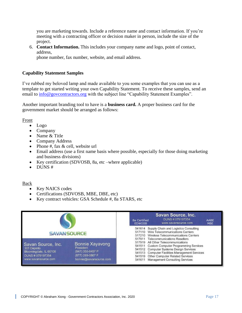you are marketing towards. Include a reference name and contact information. If you're meeting with a contracting officer or decision maker in person, include the size of the project.

6. **Contact Information.** This includes your company name and logo, point of contact, address,

phone number, fax number, website, and email address.

#### **Capability Statement Samples**

I've rubbed my beloved lamp and made available to you some examples that you can use as a template to get started writing your own Capability Statement. To receive these samples, send an email to [info@govcontractors.org](mailto:info@govcontractors.org) with the subject line "Capability Statement Examples".

Another important branding tool to have is a **business card.** A proper business card for the government market should be arranged as follows:

#### Front

- Logo
- Company
- Name & Title
- Company Address
- Phone #, fax & cell, website url
- Email address (use a first name basis where possible, especially for those doing marketing and business divisions)
- Key certification (SDVOSB, 8a, etc –where applicable)
- DUNS #

#### Back

- Key NAICS codes
- Certifications (SDVOSB, MBE, DBE, etc)
- Key contract vehicles: GSA Schedule #, 8a STARS, etc

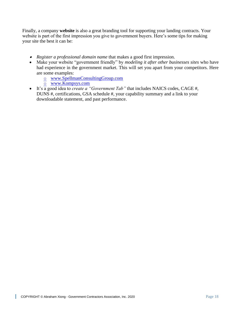Finally, a company **website** is also a great branding tool for supporting your landing contracts. Your website is part of the first impression you give to government buyers. Here's some tips for making your site the best it can be:

- *Register a professional domain name* that makes a good first impression.
- Make your website "government friendly" by *modeling it after other businesses sites* who have had experience in the government market. This will set you apart from your competitors. Here are some examples:
	- o [www.SpellmanConsultingGroup.com](http://www.spellmanconsultinggroup.com/)
	- o [www.Kompsys.com](http://www.kompsys.com/)
- It's a good idea to *create a "Government Tab"* that includes NAICS codes, CAGE #, DUNS #, certifications, GSA schedule #, your capability summary and a link to your downloadable statement, and past performance.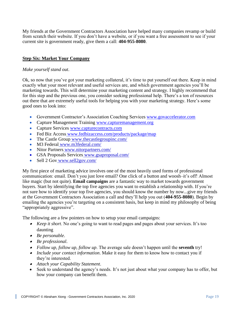My friends at the Government Contractors Association have helped many companies revamp or build from scratch their website. If you don't have a website, or if you want a free assessment to see if your current site is government ready, give them a call: **404-955-8080**.

# **Step Six: Market Your Company**

#### *Make yourself stand out*.

Ok, so now that you've got your marketing collateral, it's time to put yourself out there. Keep in mind exactly what your most relevant and useful services are, and which government agencies you'll be marketing towards. This will determine your marketing content and strategy. I highly recommend that for this step and the previous one, you consider seeking professional help. There's a ton of resources out there that are extremely useful tools for helping you with your marketing strategy. Here's some good ones to look into:

- Government Contractor's Association Coaching Services [www.govaccelerator.com](http://www.govaccelerator.com/)
- Capture Management Training [www.capturemanagement.org](http://www.capturemanagement.org/)
- Capture Services [www.capturecontracts.com](http://www.capturecontracts.com/)
- Fed Biz Access [www.fedbizaccess.com/products/package/map](http://www.fedbizaccess.com/products/package/map)
- The Castle Group www.thecastlegroupinc.com/
- M3 Federal www.m3federal.com/
- Nitor Partners www.nitorpartners.com/
- GSA Proposals Services www.gsaproposal.com/
- Sell 2 Gov www.sell2gov.com/

My first piece of marketing advice involves one of the most heavily used forms of professional communication: email. Don't you just love email? One click of a button and woosh–it's off! Almost like magic (but not quite). **Email campaigns** are a fantastic way to market towards government buyers. Start by identifying the top five agencies you want to establish a relationship with. If you're not sure how to identify your top five agencies, you should know the number by now...give my friends at the Government Contractors Association a call and they'll help you out (**404-955-8080**). Begin by emailing the agencies you're targeting on a consistent basis, but keep in mind my philosophy of being "appropriately aggressive".

The following are a few pointers on how to setup your email campaigns:

- *Keep it short*. No one's going to want to read pages and pages about your services. It's too daunting
- *Be personable*.
- *Be professional*.
- *Follow up, follow up, follow up*. The average sale doesn't happen until the **seventh** try!
- *Include your contact information*. Make it easy for them to know how to contact you if they're interested.
- *Attach your Capability Statement*.
- Seek to understand the agency's needs. It's not just about what your company has to offer, but how your company can benefit them.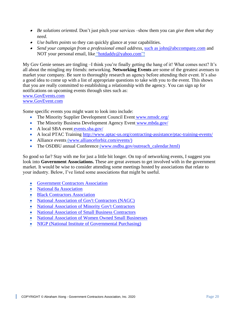- *Be solutions oriented.* Don't just pitch your services –show them you can *give them what they need*.
- *Use bullets points* so they can quickly glance at your capabilities.
- *Send your campaign from a professional email address*, [such as john@abccompany.com](mailto:such_as_john@abccompany.com) and NOT your personal email, like ["hotdaddy@yahoo.com"](mailto:hotdaddy@yahoo.com)!

My Gov Genie senses are tingling –I think you're finally getting the hang of it! What comes next? It's all about the mingling my friends: networking. **Networking Events** are some of the greatest avenues to market your company. Be sure to thoroughly research an agency before attending their event. It's also a good idea to come up with a list of appropriate questions to take with you to the event. This shows that you are really committed to establishing a relationship with the agency. You can sign up for notifications on upcoming events through sites such as: www.GovEvents.com

[www.GovEvent.com](http://www.govevent.com/)

Some specific events you might want to look into include:

- The Minority Supplier Development Council Event www.nmsdc.org/
- The Minority Business Development Agency Event www.mbda.gov/
- A local SBA event events.sba.gov/
- A local PTAC Training <http://www.aptac-us.org/contracting-assistance/ptac-training-events/>
- Alliance events [\(www.allianceforbiz.com/events/\)](http://www.allianceforbiz.com/events/))
- The OSDBU annual Conference [\(www.osdbu.gov/outreach\\_calendar.html\)](http://www.osdbu.gov/outreach_calendar.html))

So good so far? Stay with me for just a little bit longer. On top of networking events, I suggest you look into **Government Associations.** These are great avenues to get involved with in the government market. It would be wise to consider attending some meetings hosted by associations that relate to your industry. Below, I've listed some associations that might be useful.

- [Government Contractors Association](http://www.govcontractors.org/)
- [National 8a Association](https://www.national8aassociation.org/)
- [Black Contractors Association](http://www.nationalbca.org/)
- [National Association of Gov't Contractors \(NAGC\)](http://www.governmentcontractors.org/)
- [National Association of Minority Gov't Contractors](http://namcnational.org/)
- [National Association of Small Business Contractors](https://www.americansbcc.org/asbcc-nasbc.aspx)
- [National Association of Women Owned Small Businesses](http://www.nawosb.org/)
- [NIGP \(National Institute of Governmental Purchasing\)](http://www.nigp.org/)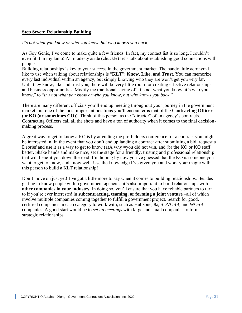# **Step Seven: Relationship Building**

*It's not what you know or who you know, but who knows you back.*

As Gov Genie, I've come to make quite a few friends. In fact, my contact list is so long, I couldn't even fit it in my lamp! All modesty aside (chuckle) let's talk about establishing good connections with people.

Building relationships is key to your success in the government market. The handy little acronym I like to use when talking about relationships is "**KLT**": **Know, Like, and Trust.** You can memorize every last individual within an agency, but simply knowing who they are won't get you very far. Until they know, like and trust you, there will be very little room for creating effective relationships and business opportunities. Modify the traditional saying of "it's not what you know, it's who you know," to "*it's not what you know or who you know, but who knows you back*."

There are many different officials you'll end up meeting throughout your journey in the government market, but one of the most important positions you'll encounter is that of the **Contracting Officer**  (or **KO (or sometimes CO)**). Think of this person as the "director" of an agency's contracts. Contracting Officers call all the shots and have a ton of authority when it comes to the final decisionmaking process.

A great way to get to know a KO is by attending the pre-bidders conference for a contract you might be interested in. In the event that you don't end up landing a contract after submitting a bid, request a Debrief and use it as a way to get to know (a)A why =you did not win, and (b) the KO or KO staff better. Shake hands and make nice; set the stage for a friendly, trusting and professional relationship that will benefit you down the road. I'm hoping by now you've guessed that the KO is someone you want to get to know, and know well. Use the knowledge I've given you and work your magic with this person to build a KLT relationship!

Don't move on just yet! I've got a little more to say when it comes to building relationships. Besides getting to know people within government agencies, it's also important to build relationships with **other companies in your industry**. In doing so, you'll ensure that you have reliable partners to turn to if you're ever interested in **subcontracting, teaming, or forming a joint venture** –all of which involve multiple companies coming together to fulfill a government project. Search for good, certified companies in each category to work with, such as Hubzone, 8a, SDVOSB, and WOSB companies. A good start would be to *set up meetings* with large and small companies to form strategic relationships.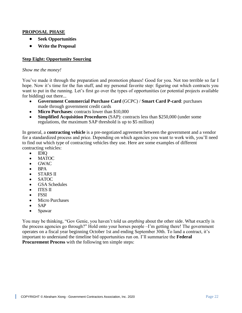#### **PROPOSAL PHASE**

- **Seek Opportunities**
- **Write the Proposal**

# **Step Eight: Opportunity Sourcing**

#### *Show me the money!*

You've made it through the preparation and promotion phases! Good for you. Not too terrible so far I hope. Now it's time for the fun stuff, and my personal favorite step: figuring out which contracts you want to put in the running. Let's first go over the types of opportunities (or potential projects available for bidding) out there...

- **Government Commercial Purchase Card** (GCPC) / **Smart Card P-card**: purchases made through government credit cards
- **Micro Purchases**: contracts lower than \$10,000
- **Simplified Acquisition Procedures** (SAP): contracts less than \$250,000 (under some regulations, the maximum SAP threshold is up to \$5 million)

In general, a **contracting vehicle** is a pre-negotiated agreement between the government and a vendor for a standardized process and price. Depending on which agencies you want to work with, you'll need to find out which type of contracting vehicles they use. Here are some examples of different contracting vehicles:

- IDIQ
- MATOC
- GWAC
- BPA
- STARS II
- SATOC
- GSA Schedules
- ITES II
- FSSI
- Micro Purchases
- SAP
- Spawar

You may be thinking, "Gov Genie, you haven't told us *anything* about the other side. What exactly is the process agencies go through?" Hold onto your horses people –I'm getting there! The government operates on a fiscal year beginning October 1st and ending September 30th. To land a contract, it's important to understand the timeline bid opportunities run on. I'll summarize the **Federal Procurement Process** with the following ten simple steps: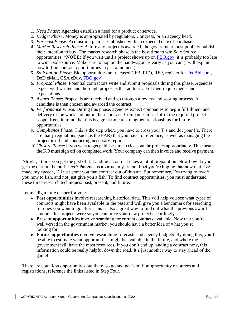- *1. Need Phase*: Agencies establish a need for a product or service.
- *2. Budget Phase*: Money is appropriated by regulators, Congress, or an agency head.
- *3. Forecast Phase*: Acquisition plan is established with an expected date of purchase.
- *4. Market Research Phase*: Before any project is awarded, the government must publicly publish their intention to buy. The market research phase is the best time to win Sole Source opportunities. \***NOTE:** If you wait until a project shows up on [FBO.gov,](http://fbo.gov/) it is probably too late to win a sole source. Make sure to hop on the bandwagon as early as you can (I will explain how to find contract opportunities in just a moment).
- *5. Solicitation Phase*: Bid opportunities are released (IFB, RFQ, RFP, register for [FedBid.com,](http://fedbid.com/) DoD eMall, GSA eBuy, [FBO.gov\)](http://fbo.gov/).
- *6. Proposal Phase*: Potential contractors write and submit proposals during this phase. Agencies expect well written and thorough proposals that address all of their requirements and expectations.
- *7. Award Phase*: Proposals are received and go through a review and scoring process. A candidate is then chosen and awarded the contract.
- *8. Performance Phase*: During this phase, agencies expect companies to begin fulfillment and delivery of the work laid out in their contract. Companies must fulfill the required project scope. Keep in mind that this is a great time to strengthen relationships for future opportunities.
- *9. Compliance Phase*: This is the step where you have to cross your T's and dot your I's. There are many regulations (such as the FAR) that you have to reference, as well as managing the project itself and conducting necessary reports.
- *10.Closure Phase*: If you want to get paid, be sure to close out the project appropriately. This means the KO must sign off on completed work. Your company can then invoice and receive payment.

Alright, I think you get the gist of it. Landing a contract takes a lot of preparation. Now how do you get the dart on the bull's eye? Patience is a virtue, my friend. I bet you're hoping that now that I've made my speech, I'll just grant you that contract out of thin air. But remember, I'm trying to *teach*  you how to fish, and not just give you a fish. To find contract opportunities, you must understand these three research techniques: past, present, and future.

Let me dig a little deeper for you:

- **Past opportunities** involve researching historical data. This will help you see what types of contracts might have been available in the past and will give you a benchmark for searching for ones you want to go after. This is also a great way to find out what the previous award amounts for projects were so you can price your new project accordingly.
- **Present opportunities** involve searching for current contracts available. Now that you're well versed in the government market, you should have a better idea of what you're looking for.
- **Future opportunities** involve researching forecasts and agency budgets. By doing this, you'll be able to estimate what opportunities might be available in the future, and where the government will have the most resources. If you don't end up landing a contract now, this information could be really helpful down the road. It's just another way to stay ahead of the game!

There are countless opportunities out there, so go and get 'em! For opportunity resources and registrations, reference the links listed in Step Four.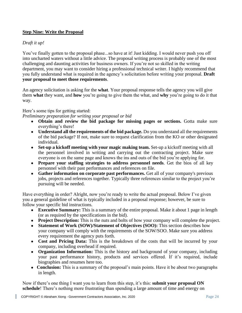# **Step Nine: Write the Proposal**

# *Draft it up!*

You've finally gotten to the proposal phase...so have at it! Just kidding. I would never push you off into uncharted waters without a little advice. The proposal writing process is probably one of the most challenging and daunting activities for business owners. If you're not so skilled in the writing department, you may want to consider hiring a professional technical writer. I highly recommend that you fully understand what is required in the agency's solicitation before writing your proposal. **Draft your proposal to meet those requirements**.

An agency solicitation is asking for the **what**. Your proposal response tells the agency you will give them **what** they want, and **how** you're going to give them the what, and **why** you're going to do it that way.

# Here's some tips for getting started:

*Preliminary preparation for writing your proposal or bid*

- **Obtain and review the bid package for missing pages or sections.** Gotta make sure everything's there!
- **Understand all the requirements of the bid package.** Do you understand all the requirements of the bid package? If not, make sure to request clarification from the KO or other designated individual.
- **Set-up a kickoff meeting with your magic making team.** Set-up a kickoff meeting with all the personnel involved in writing and carrying out the contracting project. Make sure everyone is on the same page and knows the ins and outs of the bid you're applying for.
- **Prepare your staffing strategies to address personnel needs**. Get the bios of all key personnel with their past performances and references on file.
- **Gather information on corporate past performances.** Get all of your company's previous jobs, projects and references together. Typically three references similar to the project you're pursuing will be needed.

Have everything in order? Alright, now you're ready to write the actual proposal. Below I've given you a general guideline of what is typically included in a proposal response; however, be sure to follow your specific bid instructions.

- **Executive Summary:** This is a summary of the entire proposal. Make it about 1 page in length (or as required by the specifications in the bid).
- **Project Description:** This is the nuts and bolts of how your company will complete the project.
- **Statement of Work (SOW)/Statement of Objectives (SOO):** This section describes how your company will comply with the requirements of the SOW/SOO. Make sure you address every requirement the agency puts forth.
- Cost and Pricing Data: This is the breakdown of the costs that will be incurred by your company, including overhead if required.
- **Organization Information:** This is the history and background of your company, including your past performance history, products and services offered. If it's required, include biographies and resumes here too.
- **Conclusion:** This is a summary of the proposal's main points. Have it be about two paragraphs in length.

Now if there's one thing I want you to learn from this step, it's this: **submit your proposal ON schedule**! There's nothing more frustrating than spending a large amount of time and energy on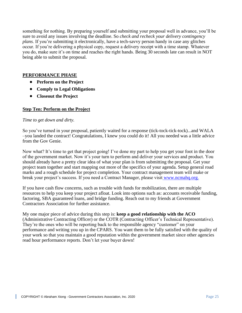something for nothing. By preparing yourself and submitting your proposal well in advance, you'll be sure to avoid any issues involving the deadline. So *check and recheck your delivery contingency plans*. If you're submitting it electronically, have a tech-savvy person handy in case any glitches occur. If you're delivering a physical copy, request a delivery receipt with a time stamp. Whatever you do, make sure it's on time and reaches the right hands. Being 30 seconds late can result in NOT being able to submit the proposal.

# **PERFORMANCE PHASE**

- **Perform on the Project**
- **Comply to Legal Obligations**
- **Closeout the Project**

#### **Step Ten: Perform on the Project**

#### *Time to get down and dirty.*

So you've turned in your proposal, patiently waited for a response (tick-tock-tick-tock)...and WALA –you landed the contract! Congratulations, I knew you could do it! All you needed was a little advice from the Gov Genie.

Now what? It's time to get that project going! I've done my part to help you get your foot in the door of the government market. Now it's your turn to perform and deliver your services and product. You should already have a pretty clear idea of what your plan is from submitting the proposal. Get your project team together and start mapping out more of the specifics of your agenda. Setup general road marks and a rough schedule for project completion. Your contract management team will make or break your project's success. If you need a Contract Manager, please visit [www.ncmahq.org.](http://www.ncmahq.org/)

If you have cash flow concerns, such as trouble with funds for mobilization, there are multiple resources to help you keep your project afloat. Look into options such as: accounts receivable funding, factoring, SBA guaranteed loans, and bridge funding. Reach out to my friends at Government Contractors Association for further assistance.

My one major piece of advice during this step is: **keep a good relationship with the ACO**  (Administrative Contracting Officer) or the COTR (Contracting Officer's Technical Representative). They're the ones who will be reporting back to the responsible agency "customer" on your performance and writing you up in the CPARS. You want them to be fully satisfied with the quality of your work so that you maintain a good reputation within the government market since other agencies read hour performance reports. Don't let your buyer down!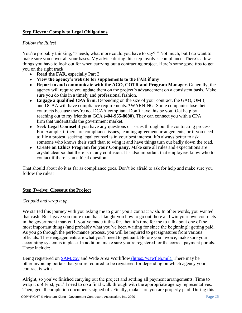# **Step Eleven: Comply to Legal Obligations**

# *Follow the Rules!*

You're probably thinking, "sheesh, what more could you have to say?!" Not much, but I do want to make sure you cover all your bases. My advice during this step involves compliance. There's a few things you have to look out for when carrying out a contracting project. Here's some good tips to get you on the right track:

- **Read the FAR**, especially Part 3
- **View the agency's website for supplements to the FAR if any**
- **Report to and communicate with the ACO, COTR and Program Manager.** Generally, the agency will require you update them on the project's advancement on a consistent basis. Make sure you do this in a timely and professional fashion.
- **Engage a qualified CPA firm.** Depending on the size of your contract, the GAO, OMB, and DCAA will have compliance requirements. \*WARNING: Some companies lose their contracts because they're not DCAA compliant. Don't have this be you! Get help by reaching out to my friends at GCA (**404-955-8080**). They can connect you with a CPA firm that understands the government market.
- **Seek Legal Counsel** if you have any questions or issues throughout the contracting process. For example, if there are compliance issues, teaming agreement arrangements, or if you need to file a protest, seeking legal counsel is in your best interest. It's always better to ask someone who knows their stuff than to wing it and have things turn out badly down the road.
- **Create an Ethics Program for your Company**. Make sure all rules and expectations are crystal clear so that there isn't any confusion. It's also important that employees know who to contact if there is an ethical question.

That should about do it as far as compliance goes. Don't be afraid to ask for help and make sure you follow the rules!

# **Step Twelve: Closeout the Project**

#### *Get paid and wrap it up*.

We started this journey with you asking me to grant you a contract wish. In other words, you wanted that cash! But I gave you more than that. I taught you how to go out there and win your own contracts in the government market. If you've made it this far, then it's time for me to talk about one of the most important things (and probably what you've been waiting for since the beginning): getting paid. As you go through the performance process, you will be required to get signatures from various officials. These engagements are what you'll need to get paid. Before you invoice, make sure your accounting system is in place. In addition, make sure you're registered for the correct payment portals. These include:

Being registered on [SAM.gov](http://sam.gov/) and Wide Area Workflow [\(https://wawf.eb.mil\)](https://wawf.eb.mil/). There may be other invoicing portals that you're required to be registered for depending on which agency your contract is with.

Alright, so you've finished carrying out the project and settling all payment arrangements. Time to wrap it up! First, you'll need to do a final walk through with the appropriate agency representatives. Then, get all completion documents signed off. Finally, make sure you are properly paid. During this